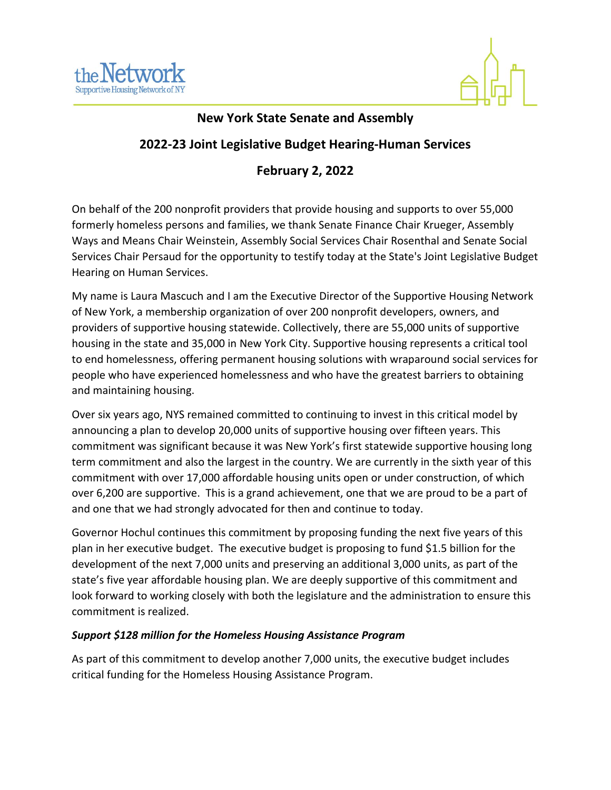



## **New York State Senate and Assembly**

# **2022-23 Joint Legislative Budget Hearing-Human Services**

## **February 2, 2022**

On behalf of the 200 nonprofit providers that provide housing and supports to over 55,000 formerly homeless persons and families, we thank Senate Finance Chair Krueger, Assembly Ways and Means Chair Weinstein, Assembly Social Services Chair Rosenthal and Senate Social Services Chair Persaud for the opportunity to testify today at the State's Joint Legislative Budget Hearing on Human Services.

My name is Laura Mascuch and I am the Executive Director of the Supportive Housing Network of New York, a membership organization of over 200 nonprofit developers, owners, and providers of supportive housing statewide. Collectively, there are 55,000 units of supportive housing in the state and 35,000 in New York City. Supportive housing represents a critical tool to end homelessness, offering permanent housing solutions with wraparound social services for people who have experienced homelessness and who have the greatest barriers to obtaining and maintaining housing.

Over six years ago, NYS remained committed to continuing to invest in this critical model by announcing a plan to develop 20,000 units of supportive housing over fifteen years. This commitment was significant because it was New York's first statewide supportive housing long term commitment and also the largest in the country. We are currently in the sixth year of this commitment with over 17,000 affordable housing units open or under construction, of which over 6,200 are supportive. This is a grand achievement, one that we are proud to be a part of and one that we had strongly advocated for then and continue to today.

Governor Hochul continues this commitment by proposing funding the next five years of this plan in her executive budget. The executive budget is proposing to fund \$1.5 billion for the development of the next 7,000 units and preserving an additional 3,000 units, as part of the state's five year affordable housing plan. We are deeply supportive of this commitment and look forward to working closely with both the legislature and the administration to ensure this commitment is realized.

#### *Support \$128 million for the Homeless Housing Assistance Program*

As part of this commitment to develop another 7,000 units, the executive budget includes critical funding for the Homeless Housing Assistance Program.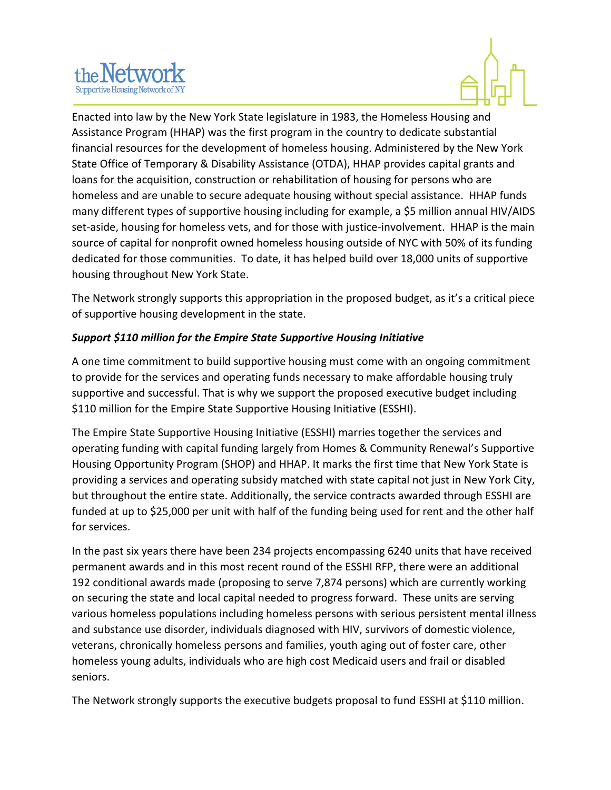



Enacted into law by the New York State legislature in 1983, the Homeless Housing and Assistance Program (HHAP) was the first program in the country to dedicate substantial financial resources for the development of homeless housing. Administered by the New York State Office of Temporary & Disability Assistance (OTDA), HHAP provides capital grants and loans for the acquisition, construction or rehabilitation of housing for persons who are homeless and are unable to secure adequate housing without special assistance. HHAP funds many different types of supportive housing including for example, a \$5 million annual HIV/AIDS set-aside, housing for homeless vets, and for those with justice-involvement. HHAP is the main source of capital for nonprofit owned homeless housing outside of NYC with 50% of its funding dedicated for those communities. To date, it has helped build over 18,000 units of supportive housing throughout New York State.

The Network strongly supports this appropriation in the proposed budget, as it's a critical piece of supportive housing development in the state.

### *Support \$110 million for the Empire State Supportive Housing Initiative*

A one time commitment to build supportive housing must come with an ongoing commitment to provide for the services and operating funds necessary to make affordable housing truly supportive and successful. That is why we support the proposed executive budget including \$110 million for the Empire State Supportive Housing Initiative (ESSHI).

The Empire State Supportive Housing Initiative (ESSHI) marries together the services and operating funding with capital funding largely from Homes & Community Renewal's Supportive Housing Opportunity Program (SHOP) and HHAP. It marks the first time that New York State is providing a services and operating subsidy matched with state capital not just in New York City, but throughout the entire state. Additionally, the service contracts awarded through ESSHI are funded at up to \$25,000 per unit with half of the funding being used for rent and the other half for services.

In the past six years there have been 234 projects encompassing 6240 units that have received permanent awards and in this most recent round of the ESSHI RFP, there were an additional 192 conditional awards made (proposing to serve 7,874 persons) which are currently working on securing the state and local capital needed to progress forward. These units are serving various homeless populations including homeless persons with serious persistent mental illness and substance use disorder, individuals diagnosed with HIV, survivors of domestic violence, veterans, chronically homeless persons and families, youth aging out of foster care, other homeless young adults, individuals who are high cost Medicaid users and frail or disabled seniors.

The Network strongly supports the executive budgets proposal to fund ESSHI at \$110 million.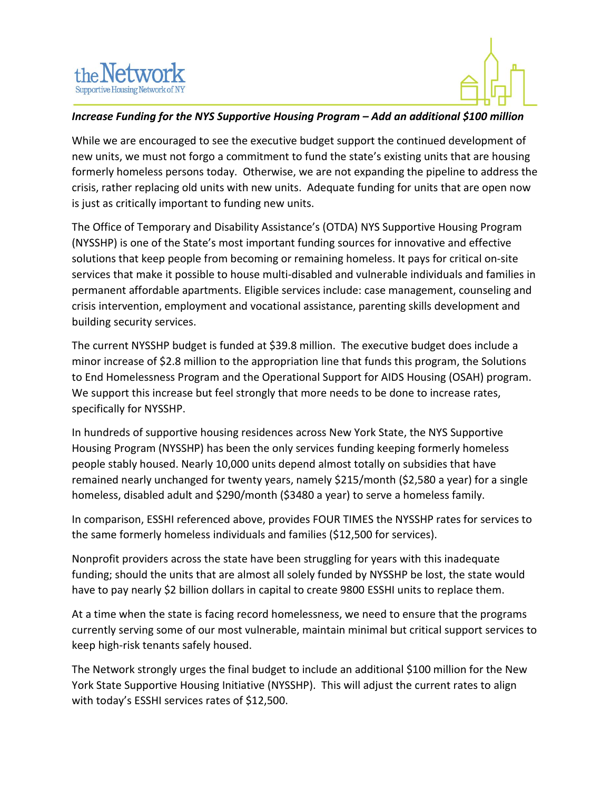



#### *Increase Funding for the NYS Supportive Housing Program – Add an additional \$100 million*

While we are encouraged to see the executive budget support the continued development of new units, we must not forgo a commitment to fund the state's existing units that are housing formerly homeless persons today. Otherwise, we are not expanding the pipeline to address the crisis, rather replacing old units with new units. Adequate funding for units that are open now is just as critically important to funding new units.

The Office of Temporary and Disability Assistance's (OTDA) NYS Supportive Housing Program (NYSSHP) is one of the State's most important funding sources for innovative and effective solutions that keep people from becoming or remaining homeless. It pays for critical on-site services that make it possible to house multi-disabled and vulnerable individuals and families in permanent affordable apartments. Eligible services include: case management, counseling and crisis intervention, employment and vocational assistance, parenting skills development and building security services.

The current NYSSHP budget is funded at \$39.8 million. The executive budget does include a minor increase of \$2.8 million to the appropriation line that funds this program, the Solutions to End Homelessness Program and the Operational Support for AIDS Housing (OSAH) program. We support this increase but feel strongly that more needs to be done to increase rates, specifically for NYSSHP.

In hundreds of supportive housing residences across New York State, the NYS Supportive Housing Program (NYSSHP) has been the only services funding keeping formerly homeless people stably housed. Nearly 10,000 units depend almost totally on subsidies that have remained nearly unchanged for twenty years, namely \$215/month (\$2,580 a year) for a single homeless, disabled adult and \$290/month (\$3480 a year) to serve a homeless family.

In comparison, ESSHI referenced above, provides FOUR TIMES the NYSSHP rates for services to the same formerly homeless individuals and families (\$12,500 for services).

Nonprofit providers across the state have been struggling for years with this inadequate funding; should the units that are almost all solely funded by NYSSHP be lost, the state would have to pay nearly \$2 billion dollars in capital to create 9800 ESSHI units to replace them.

At a time when the state is facing record homelessness, we need to ensure that the programs currently serving some of our most vulnerable, maintain minimal but critical support services to keep high-risk tenants safely housed.

The Network strongly urges the final budget to include an additional \$100 million for the New York State Supportive Housing Initiative (NYSSHP). This will adjust the current rates to align with today's ESSHI services rates of \$12,500.